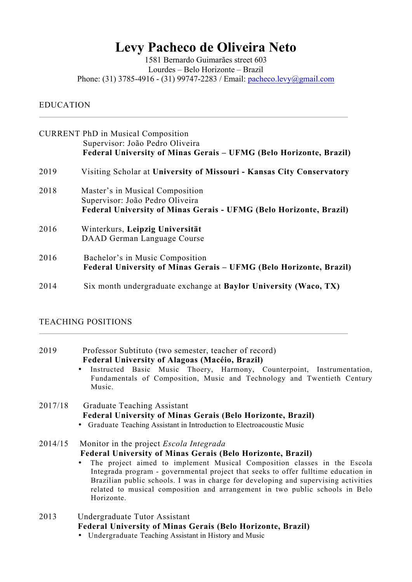# **Levy Pacheco de Oliveira Neto**

1581 Bernardo Guimarães street 603 Lourdes – Belo Horizonte – Brazil Phone: (31) 3785-4916 - (31) 99747-2283 / Email: pacheco.levy@gmail.com

### EDUCATION

|      | <b>CURRENT PhD in Musical Composition</b><br>Supervisor: João Pedro Oliveira<br>Federal University of Minas Gerais – UFMG (Belo Horizonte, Brazil) |
|------|----------------------------------------------------------------------------------------------------------------------------------------------------|
| 2019 | Visiting Scholar at University of Missouri - Kansas City Conservatory                                                                              |
| 2018 | Master's in Musical Composition<br>Supervisor: João Pedro Oliveira<br><b>Federal University of Minas Gerais - UFMG (Belo Horizonte, Brazil)</b>    |
| 2016 | Winterkurs, Leipzig Universität<br>DAAD German Language Course                                                                                     |
| 2016 | Bachelor's in Music Composition<br><b>Federal University of Minas Gerais - UFMG (Belo Horizonte, Brazil)</b>                                       |
| 2014 | Six month undergraduate exchange at Baylor University (Waco, TX)                                                                                   |

#### TEACHING POSITIONS

| 2019 | Professor Subtituto (two semester, teacher of record) |
|------|-------------------------------------------------------|
|      | <b>Federal University of Alagoas (Macéio, Brazil)</b> |

• Instructed Basic Music Thoery, Harmony, Counterpoint, Instrumentation, Fundamentals of Composition, Music and Technology and Twentieth Century Music.

# 2017/18 Graduate Teaching Assistant **Federal University of Minas Gerais (Belo Horizonte, Brazil)**

• Graduate Teaching Assistant in Introduction to Electroacoustic Music

# 2014/15 Monitor in the project *Escola Integrada* **Federal University of Minas Gerais (Belo Horizonte, Brazil)**

- The project aimed to implement Musical Composition classes in the Escola Integrada program - governmental project that seeks to offer fulltime education in Brazilian public schools. I was in charge for developing and supervising activities related to musical composition and arrangement in two public schools in Belo Horizonte.
- 2013 Undergraduate Tutor Assistant **Federal University of Minas Gerais (Belo Horizonte, Brazil)**
	- Undergraduate Teaching Assistant in History and Music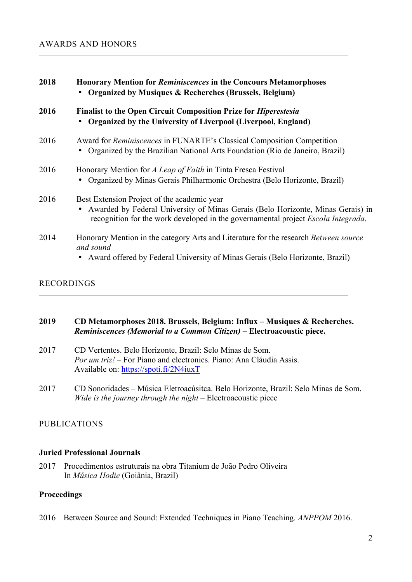| 2018 | <b>Honorary Mention for Reminiscences in the Concours Metamorphoses</b><br><b>Organized by Musiques &amp; Recherches (Brussels, Belgium)</b>                                                                        |  |
|------|---------------------------------------------------------------------------------------------------------------------------------------------------------------------------------------------------------------------|--|
| 2016 | <b>Finalist to the Open Circuit Composition Prize for Hiperestesia</b><br>Organized by the University of Liverpool (Liverpool, England)                                                                             |  |
| 2016 | Award for <i>Reminiscences</i> in FUNARTE's Classical Composition Competition<br>Organized by the Brazilian National Arts Foundation (Rio de Janeiro, Brazil)                                                       |  |
| 2016 | Honorary Mention for A Leap of Faith in Tinta Fresca Festival<br>• Organized by Minas Gerais Philharmonic Orchestra (Belo Horizonte, Brazil)                                                                        |  |
| 2016 | Best Extension Project of the academic year<br>Awarded by Federal University of Minas Gerais (Belo Horizonte, Minas Gerais) in<br>recognition for the work developed in the governamental project Escola Integrada. |  |
| 2014 | Honorary Mention in the category Arts and Literature for the research Between source<br>and sound<br>Award offered by Federal University of Minas Gerais (Belo Horizonte, Brazil)                                   |  |

# RECORDINGS

### **2019 CD Metamorphoses 2018. Brussels, Belgium: Influx – Musiques & Recherches.** *Reminiscences (Memorial to a Common Citizen)* **– Electroacoustic piece.**

- 2017 CD Vertentes. Belo Horizonte, Brazil: Selo Minas de Som. *Por um triz!* – For Piano and electronics. Piano: Ana Cláudia Assis. Available on: https://spoti.fi/2N4iuxT
- 2017 CD Sonoridades Música Eletroacúsitca. Belo Horizonte, Brazil: Selo Minas de Som. *Wide is the journey through the night* – Electroacoustic piece

# PUBLICATIONS

### **Juried Professional Journals**

2017 Procedimentos estruturais na obra Titanium de João Pedro Oliveira In *Música Hodie* (Goiânia, Brazil)

# **Proceedings**

2016 Between Source and Sound: Extended Techniques in Piano Teaching. *ANPPOM* 2016.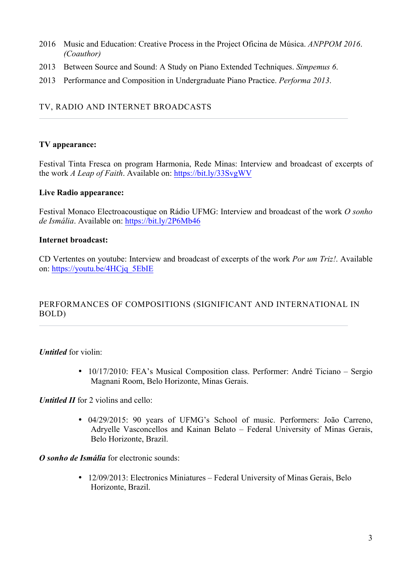- 2016 Music and Education: Creative Process in the Project Oficina de Música. *ANPPOM 2016*. *(Coauthor)*
- 2013 Between Source and Sound: A Study on Piano Extended Techniques. *Simpemus 6*.
- 2013 Performance and Composition in Undergraduate Piano Practice. *Performa 2013*.

### TV, RADIO AND INTERNET BROADCASTS

### **TV appearance:**

Festival Tinta Fresca on program Harmonia, Rede Minas: Interview and broadcast of excerpts of the work *A Leap of Faith*. Available on: https://bit.ly/33SvgWV

### **Live Radio appearance:**

Festival Monaco Electroacoustique on Rádio UFMG: Interview and broadcast of the work *O sonho de Ismália*. Available on: https://bit.ly/2P6Mb46

### **Internet broadcast:**

CD Vertentes on youtube: Interview and broadcast of excerpts of the work *Por um Triz!*. Available on: https://youtu.be/4HCjq\_5EbIE

# PERFORMANCES OF COMPOSITIONS (SIGNIFICANT AND INTERNATIONAL IN BOLD)

*Untitled* for violin:

• 10/17/2010: FEA's Musical Composition class. Performer: André Ticiano – Sergio Magnani Room, Belo Horizonte, Minas Gerais.

*Untitled II* for 2 violins and cello:

• 04/29/2015: 90 years of UFMG's School of music. Performers: João Carreno, Adryelle Vasconcellos and Kainan Belato – Federal University of Minas Gerais, Belo Horizonte, Brazil.

*O sonho de Ismália* for electronic sounds:

• 12/09/2013: Electronics Miniatures – Federal University of Minas Gerais, Belo Horizonte, Brazil.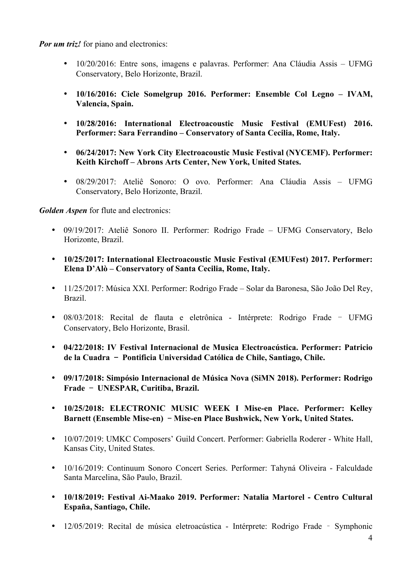*Por um triz!* for piano and electronics:

- 10/20/2016: Entre sons, imagens e palavras. Performer: Ana Cláudia Assis UFMG Conservatory, Belo Horizonte, Brazil.
- **10/16/2016: Cicle Somelgrup 2016. Performer: Ensemble Col Legno – IVAM, Valencia, Spain.**
- **10/28/2016: International Electroacoustic Music Festival (EMUFest) 2016. Performer: Sara Ferrandino – Conservatory of Santa Cecilia, Rome, Italy.**
- **06/24/2017: New York City Electroacoustic Music Festival (NYCEMF). Performer: Keith Kirchoff – Abrons Arts Center, New York, United States.**
- 08/29/2017: Ateliê Sonoro: O ovo. Performer: Ana Cláudia Assis UFMG Conservatory, Belo Horizonte, Brazil.

*Golden Aspen* for flute and electronics:

- 09/19/2017: Ateliê Sonoro II. Performer: Rodrigo Frade UFMG Conservatory, Belo Horizonte, Brazil.
- **10/25/2017: International Electroacoustic Music Festival (EMUFest) 2017. Performer: Elena D'Alò – Conservatory of Santa Cecilia, Rome, Italy.**
- 11/25/2017: Música XXI. Performer: Rodrigo Frade Solar da Baronesa, São João Del Rey, Brazil.
- 08/03/2018: Recital de flauta e eletrônica Intérprete: Rodrigo Frade UFMG Conservatory, Belo Horizonte, Brasil.
- **04/22/2018: IV Festival Internacional de Musica Electroacústica. Performer: Patricio de la Cuadra**- **Pontificia Universidad Católica de Chile, Santiago, Chile.**
- **09/17/2018: Simpósio Internacional de Música Nova (SiMN 2018). Performer: Rodrigo**  Frade - UNESPAR, Curitiba, Brazil.
- **10/25/2018: ELECTRONIC MUSIC WEEK I Mise-en Place. Performer: Kelley**  Barnett (Ensemble Mise-en) - Mise-en Place Bushwick, New York, United States.
- 10/07/2019: UMKC Composers' Guild Concert. Performer: Gabriella Roderer White Hall, Kansas City, United States.
- 10/16/2019: Continuum Sonoro Concert Series. Performer: Tahyná Oliveira Falculdade Santa Marcelina, São Paulo, Brazil.
- **10/18/2019: Festival Ai-Maako 2019. Performer: Natalia Martorel - Centro Cultural España, Santiago, Chile.**
- 12/05/2019: Recital de música eletroacústica Intérprete: Rodrigo Frade Symphonic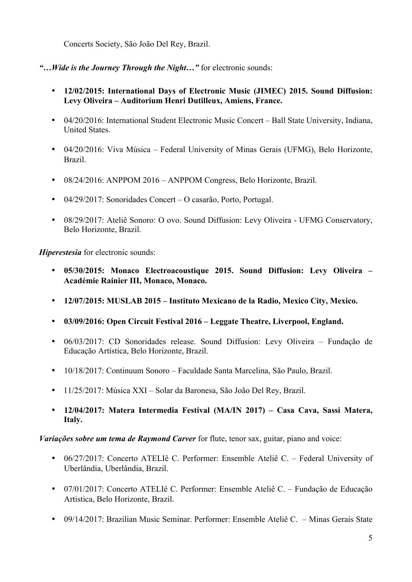Concerts Society, São João Del Rey, Brazil.

- *"…Wide is the Journey Through the Night…"* for electronic sounds:
	- **12/02/2015: International Days of Electronic Music (JIMEC) 2015. Sound Diffusion: Levy Oliveira – Auditorium Henri Dutilleux, Amiens, France.**
	- 04/20/2016: International Student Electronic Music Concert Ball State University, Indiana, United States.
	- 04/20/2016: Viva Música Federal University of Minas Gerais (UFMG), Belo Horizonte, Brazil.
	- 08/24/2016: ANPPOM 2016 ANPPOM Congress, Belo Horizonte, Brazil.
	- 04/29/2017: Sonoridades Concert O casarão, Porto, Portugal.
	- 08/29/2017: Ateliê Sonoro: O ovo. Sound Diffusion: Levy Oliveira UFMG Conservatory, Belo Horizonte, Brazil.

*Hiperestesia* for electronic sounds:

- **05/30/2015: Monaco Electroacoustique 2015. Sound Diffusion: Levy Oliveira – Académie Rainier III, Monaco, Monaco.**
- **12/07/2015: MUSLAB 2015 – Instituto Mexicano de la Radio, Mexico City, Mexico.**
- **03/09/2016: Open Circuit Festival 2016 – Leggate Theatre, Liverpool, England.**
- 06/03/2017: CD Sonoridades release. Sound Diffusion: Levy Oliveira Fundação de Educação Artística, Belo Horizonte, Brazil.
- 10/18/2017: Continuum Sonoro Faculdade Santa Marcelina, São Paulo, Brazil.
- 11/25/2017: Música XXI Solar da Baronesa, São João Del Rey, Brazil.
- **12/04/2017: Matera Intermedia Festival (MA/IN 2017) – Casa Cava, Sassi Matera, Italy.**

# *Variações sobre um tema de Raymond Carver* for flute, tenor sax, guitar, piano and voice:

- 06/27/2017: Concerto ATELIê C. Performer: Ensemble Ateliê C. Federal University of Uberlândia, Uberlândia, Brazil.
- 07/01/2017: Concerto ATELIê C. Performer: Ensemble Ateliê C. Fundação de Educação Artistica, Belo Horizonte, Brazil.
- 09/14/2017: Brazilian Music Seminar. Performer: Ensemble Ateliê C. Minas Gerais State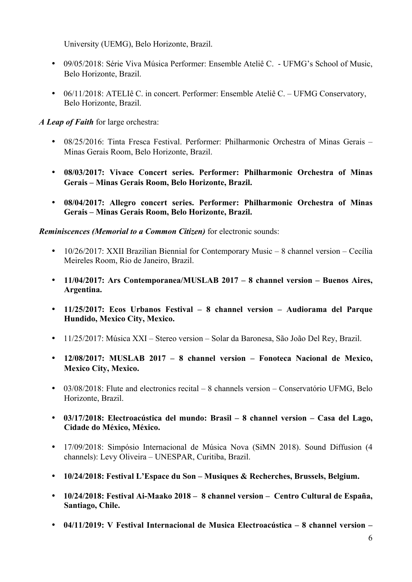University (UEMG), Belo Horizonte, Brazil.

- 09/05/2018: Série Viva Música Performer: Ensemble Ateliê C. UFMG's School of Music, Belo Horizonte, Brazil.
- 06/11/2018: ATELIê C. in concert. Performer: Ensemble Ateliê C. UFMG Conservatory, Belo Horizonte, Brazil.

*A Leap of Faith* for large orchestra:

- 08/25/2016: Tinta Fresca Festival. Performer: Philharmonic Orchestra of Minas Gerais Minas Gerais Room, Belo Horizonte, Brazil.
- **08/03/2017: Vivace Concert series. Performer: Philharmonic Orchestra of Minas Gerais – Minas Gerais Room, Belo Horizonte, Brazil.**
- **08/04/2017: Allegro concert series. Performer: Philharmonic Orchestra of Minas Gerais – Minas Gerais Room, Belo Horizonte, Brazil.**

# *Reminiscences (Memorial to a Common Citizen)* for electronic sounds:

- 10/26/2017: XXII Brazilian Biennial for Contemporary Music 8 channel version Cecília Meireles Room, Rio de Janeiro, Brazil.
- **11/04/2017: Ars Contemporanea/MUSLAB 2017 – 8 channel version – Buenos Aires, Argentina.**
- **11/25/2017: Ecos Urbanos Festival – 8 channel version – Audiorama del Parque Hundido, Mexico City, Mexico.**
- 11/25/2017: Música XXI Stereo version Solar da Baronesa, São João Del Rey, Brazil.
- **12/08/2017: MUSLAB 2017 – 8 channel version – Fonoteca Nacional de Mexico, Mexico City, Mexico.**
- 03/08/2018: Flute and electronics recital 8 channels version Conservatório UFMG, Belo Horizonte, Brazil.
- **03/17/2018: Electroacústica del mundo: Brasil – 8 channel version – Casa del Lago, Cidade do México, México.**
- 17/09/2018: Simpósio Internacional de Música Nova (SiMN 2018). Sound Diffusion (4 channels): Levy Oliveira – UNESPAR, Curitiba, Brazil.
- **10/24/2018: Festival L'Espace du Son – Musiques & Recherches, Brussels, Belgium.**
- **10/24/2018: Festival Ai-Maako 2018 8 channel version Centro Cultural de España, Santiago, Chile.**
- **04/11/2019: V Festival Internacional de Musica Electroacústica – 8 channel version –**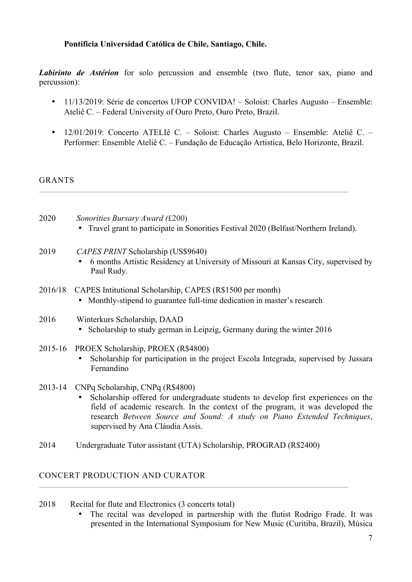### **Pontificia Universidad Católica de Chile, Santiago, Chile.**

*Labirinto de Astérion* for solo percussion and ensemble (two flute, tenor sax, piano and percussion):

- 11/13/2019: Série de concertos UFOP CONVIDA! Soloist: Charles Augusto Ensemble: Ateliê C. – Federal University of Ouro Preto, Ouro Preto, Brazil.
- 12/01/2019: Concerto ATELIê C. Soloist: Charles Augusto Ensemble: Ateliê C. Performer: Ensemble Ateliê C. – Fundação de Educação Artistica, Belo Horizonte, Brazil.

**GRANTS** 

- 2020 *Sonorities Bursary Award (*£200) • Travel grant to participate in Sonorities Festival 2020 (Belfast/Northern Ireland).
- 2019 *CAPES PRINT* Scholarship (US\$9640)
	- 6 months Artistic Residency at University of Missouri at Kansas City, supervised by Paul Rudy.
- 2016/18 CAPES Intitutional Scholarship, CAPES (R\$1500 per month) • Monthly-stipend to guarantee full-time dedication in master's research
- 2016 Winterkurs Scholarship, DAAD • Scholarship to study german in Leipzig, Germany during the winter 2016
- 2015-16 PROEX Scholarship, PROEX (R\$4800)
	- Scholarship for participation in the project Escola Integrada, supervised by Jussara Fernandino
- 2013-14 CNPq Scholarship, CNPq (R\$4800)
	- Scholarship offered for undergraduate students to develop first experiences on the field of academic research. In the context of the program, it was developed the research *Between Source and Sound: A study on Piano Extended Techniques*, supervised by Ana Cláudia Assis.
- 2014 Undergraduate Tutor assistant (UTA) Scholarship, PROGRAD (R\$2400)

### CONCERT PRODUCTION AND CURATOR

- 2018 Recital for flute and Electronics (3 concerts total)
	- The recital was developed in partnership with the flutist Rodrigo Frade. It was presented in the International Symposium for New Music (Curitiba, Brazil), Música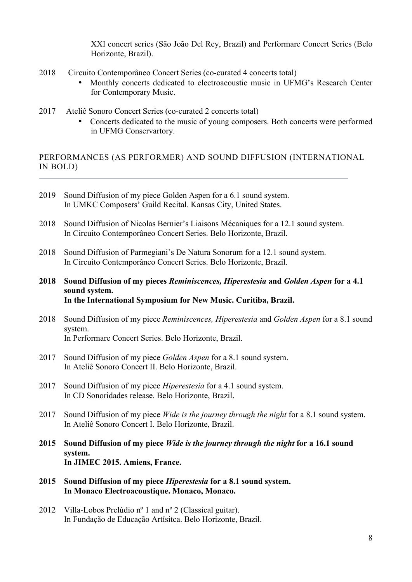XXI concert series (São João Del Rey, Brazil) and Performare Concert Series (Belo Horizonte, Brazil).

- 2018 Circuito Contemporâneo Concert Series (co-curated 4 concerts total)
	- Monthly concerts dedicated to electroacoustic music in UFMG's Research Center for Contemporary Music.
- 2017 Ateliê Sonoro Concert Series (co-curated 2 concerts total)
	- Concerts dedicated to the music of young composers. Both concerts were performed in UFMG Conservartory.

# PERFORMANCES (AS PERFORMER) AND SOUND DIFFUSION (INTERNATIONAL IN BOLD)

- 2019 Sound Diffusion of my piece Golden Aspen for a 6.1 sound system. In UMKC Composers' Guild Recital. Kansas City, United States.
- 2018 Sound Diffusion of Nicolas Bernier's Liaisons Mécaniques for a 12.1 sound system. In Circuito Contemporâneo Concert Series. Belo Horizonte, Brazil.
- 2018 Sound Diffusion of Parmegiani's De Natura Sonorum for a 12.1 sound system. In Circuito Contemporâneo Concert Series. Belo Horizonte, Brazil.
- **2018 Sound Diffusion of my pieces** *Reminiscences, Hiperestesia* **and** *Golden Aspen* **for a 4.1 sound system. In the International Symposium for New Music. Curitiba, Brazil.**
- 2018 Sound Diffusion of my piece *Reminiscences, Hiperestesia* and *Golden Aspen* for a 8.1 sound system. In Performare Concert Series. Belo Horizonte, Brazil.
- 2017 Sound Diffusion of my piece *Golden Aspen* for a 8.1 sound system. In Ateliê Sonoro Concert II. Belo Horizonte, Brazil.
- 2017 Sound Diffusion of my piece *Hiperestesia* for a 4.1 sound system. In CD Sonoridades release. Belo Horizonte, Brazil.
- 2017 Sound Diffusion of my piece *Wide is the journey through the night* for a 8.1 sound system. In Ateliê Sonoro Concert I. Belo Horizonte, Brazil.
- **2015 Sound Diffusion of my piece** *Wide is the journey through the night* **for a 16.1 sound system. In JIMEC 2015. Amiens, France.**
- **2015 Sound Diffusion of my piece** *Hiperestesia* **for a 8.1 sound system. In Monaco Electroacoustique. Monaco, Monaco.**
- 2012 Villa-Lobos Prelúdio nº 1 and nº 2 (Classical guitar). In Fundação de Educação Artísitca. Belo Horizonte, Brazil.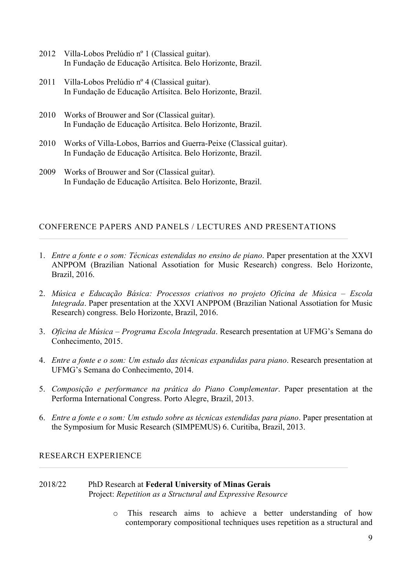- 2012 Villa-Lobos Prelúdio nº 1 (Classical guitar). In Fundação de Educação Artísitca. Belo Horizonte, Brazil.
- 2011 Villa-Lobos Prelúdio nº 4 (Classical guitar). In Fundação de Educação Artísitca. Belo Horizonte, Brazil.
- 2010 Works of Brouwer and Sor (Classical guitar). In Fundação de Educação Artísitca. Belo Horizonte, Brazil.
- 2010 Works of Villa-Lobos, Barrios and Guerra-Peixe (Classical guitar). In Fundação de Educação Artísitca. Belo Horizonte, Brazil.
- 2009 Works of Brouwer and Sor (Classical guitar). In Fundação de Educação Artísitca. Belo Horizonte, Brazil.

### CONFERENCE PAPERS AND PANELS / LECTURES AND PRESENTATIONS

- 1. *Entre a fonte e o som: Técnicas estendidas no ensino de piano*. Paper presentation at the XXVI ANPPOM (Brazilian National Assotiation for Music Research) congress. Belo Horizonte, Brazil, 2016.
- 2. *Música e Educação Básica: Processos criativos no projeto Oficina de Música – Escola Integrada*. Paper presentation at the XXVI ANPPOM (Brazilian National Assotiation for Music Research) congress. Belo Horizonte, Brazil, 2016.
- 3. *Oficina de Música – Programa Escola Integrada*. Research presentation at UFMG's Semana do Conhecimento, 2015.
- 4. *Entre a fonte e o som: Um estudo das técnicas expandidas para piano*. Research presentation at UFMG's Semana do Conhecimento, 2014.
- 5. *Composição e performance na prática do Piano Complementar*. Paper presentation at the Performa International Congress. Porto Alegre, Brazil, 2013.
- 6. *Entre a fonte e o som: Um estudo sobre as técnicas estendidas para piano*. Paper presentation at the Symposium for Music Research (SIMPEMUS) 6. Curitiba, Brazil, 2013.

### RESEARCH EXPERIENCE

#### 2018/22 PhD Research at **Federal University of Minas Gerais** Project: *Repetition as a Structural and Expressive Resource*

o This research aims to achieve a better understanding of how contemporary compositional techniques uses repetition as a structural and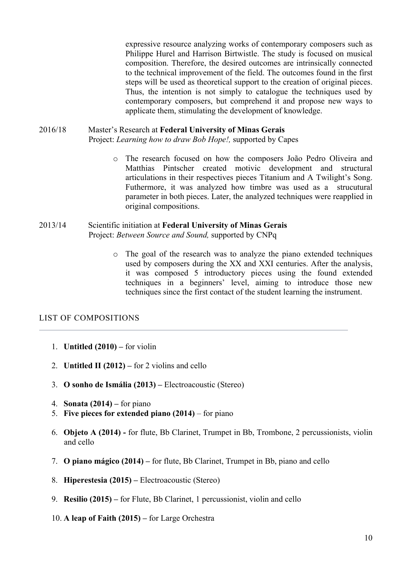expressive resource analyzing works of contemporary composers such as Philippe Hurel and Harrison Birtwistle. The study is focused on musical composition. Therefore, the desired outcomes are intrinsically connected to the technical improvement of the field. The outcomes found in the first steps will be used as theoretical support to the creation of original pieces. Thus, the intention is not simply to catalogue the techniques used by contemporary composers, but comprehend it and propose new ways to applicate them, stimulating the development of knowledge.

# 2016/18 Master's Research at **Federal University of Minas Gerais**

Project: *Learning how to draw Bob Hope!,* supported by Capes

o The research focused on how the composers João Pedro Oliveira and Matthias Pintscher created motivic development and structural articulations in their respectives pieces Titanium and A Twilight's Song. Futhermore, it was analyzed how timbre was used as a strucutural parameter in both pieces. Later, the analyzed techniques were reapplied in original compositions.

#### 2013/14 Scientific initiation at **Federal University of Minas Gerais** Project: *Between Source and Sound,* supported by CNPq

o The goal of the research was to analyze the piano extended techniques used by composers during the XX and XXI centuries. After the analysis, it was composed 5 introductory pieces using the found extended techniques in a beginners' level, aiming to introduce those new techniques since the first contact of the student learning the instrument.

### LIST OF COMPOSITIONS

- 1. **Untitled (2010) –** for violin
- 2. **Untitled II (2012) –** for 2 violins and cello
- 3. **O sonho de Ismália (2013) –** Electroacoustic (Stereo)
- 4. **Sonata (2014) –** for piano
- 5. **Five pieces for extended piano (2014)** for piano
- 6. **Objeto A (2014) -** for flute, Bb Clarinet, Trumpet in Bb, Trombone, 2 percussionists, violin and cello
- 7. **O piano mágico (2014) –** for flute, Bb Clarinet, Trumpet in Bb, piano and cello
- 8. **Hiperestesia (2015) –** Electroacoustic (Stereo)
- 9. **Resilio (2015) –** for Flute, Bb Clarinet, 1 percussionist, violin and cello
- 10. **A leap of Faith (2015) –** for Large Orchestra